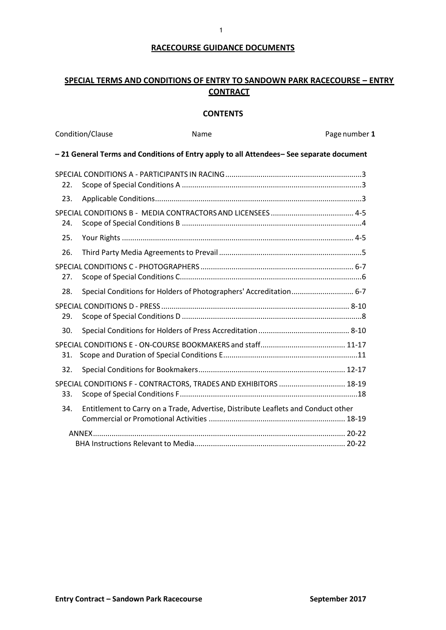# **RACECOURSE GUIDANCE DOCUMENTS**

# **SPECIAL TERMS AND CONDITIONS OF ENTRY TO SANDOWN PARK RACECOURSE – ENTRY CONTRACT**

### **CONTENTS**

| Condition/Clause |  | Name                                                                                   | Page number 1 |
|------------------|--|----------------------------------------------------------------------------------------|---------------|
|                  |  | -21 General Terms and Conditions of Entry apply to all Attendees-See separate document |               |
| 22.              |  |                                                                                        |               |
| 23.              |  |                                                                                        |               |
| 24.              |  |                                                                                        |               |
| 25.              |  |                                                                                        |               |
| 26.              |  |                                                                                        |               |
| 27.              |  |                                                                                        |               |
| 28.              |  | Special Conditions for Holders of Photographers' Accreditation 6-7                     |               |
| 29.              |  |                                                                                        |               |
| 30.              |  |                                                                                        |               |
| 31.              |  |                                                                                        |               |
| 32.              |  |                                                                                        |               |
| 33.              |  | SPECIAL CONDITIONS F - CONTRACTORS, TRADES AND EXHIBITORS  18-19                       |               |
| 34.              |  | Entitlement to Carry on a Trade, Advertise, Distribute Leaflets and Conduct other      |               |
| ANNFX            |  |                                                                                        |               |
|                  |  |                                                                                        |               |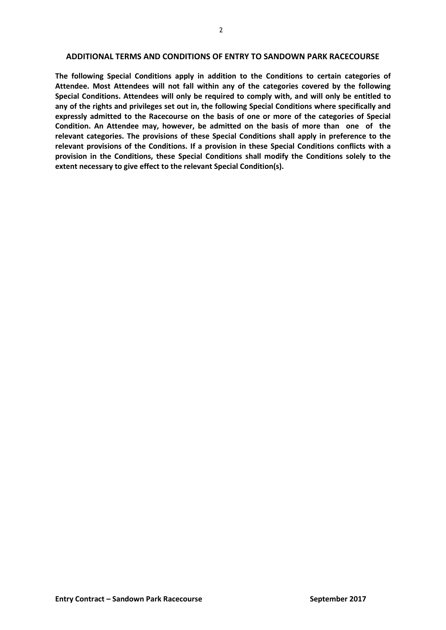#### **ADDITIONAL TERMS AND CONDITIONS OF ENTRY TO SANDOWN PARK RACECOURSE**

**The following Special Conditions apply in addition to the Conditions to certain categories of Attendee. Most Attendees will not fall within any of the categories covered by the following Special Conditions. Attendees will only be required to comply with, and will only be entitled to any of the rights and privileges set out in, the following Special Conditions where specifically and expressly admitted to the Racecourse on the basis of one or more of the categories of Special Condition. An Attendee may, however, be admitted on the basis of more than one of the relevant categories. The provisions of these Special Conditions shall apply in preference to the relevant provisions of the Conditions. If a provision in these Special Conditions conflicts with a provision in the Conditions, these Special Conditions shall modify the Conditions solely to the extent necessary to give effect to the relevant Special Condition(s).**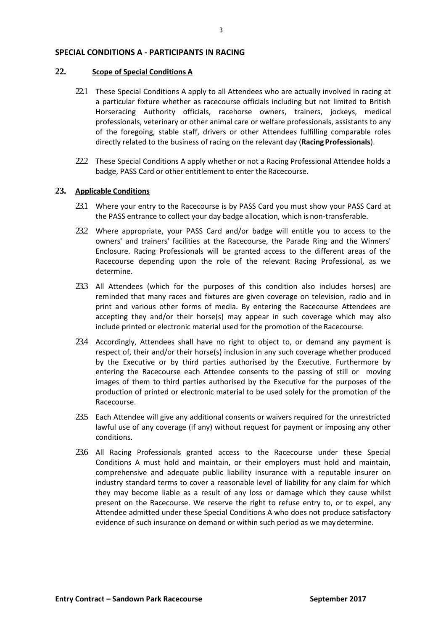### <span id="page-2-1"></span><span id="page-2-0"></span>**SPECIAL CONDITIONS A - PARTICIPANTS IN RACING**

#### **22. Scope of Special Conditions A**

- 22.1 These Special Conditions A apply to all Attendees who are actually involved in racing at a particular fixture whether as racecourse officials including but not limited to British Horseracing Authority officials, racehorse owners, trainers, jockeys, medical professionals, veterinary or other animal care or welfare professionals, assistants to any of the foregoing, stable staff, drivers or other Attendees fulfilling comparable roles directly related to the business of racing on the relevant day (**Racing Professionals**).
- 22.2 These Special Conditions A apply whether or not a Racing Professional Attendee holds a badge, PASS Card or other entitlement to enter the Racecourse.

### <span id="page-2-2"></span>**23. Applicable Conditions**

- 23.1 Where your entry to the Racecourse is by PASS Card you must show your PASS Card at the PASS entrance to collect your day badge allocation, which is non-transferable.
- 23.2 Where appropriate, your PASS Card and/or badge will entitle you to access to the owners' and trainers' facilities at the Racecourse, the Parade Ring and the Winners' Enclosure. Racing Professionals will be granted access to the different areas of the Racecourse depending upon the role of the relevant Racing Professional, as we determine.
- 23.3 All Attendees (which for the purposes of this condition also includes horses) are reminded that many races and fixtures are given coverage on television, radio and in print and various other forms of media. By entering the Racecourse Attendees are accepting they and/or their horse(s) may appear in such coverage which may also include printed or electronic material used for the promotion of the Racecourse.
- 23.4 Accordingly, Attendees shall have no right to object to, or demand any payment is respect of, their and/or their horse(s) inclusion in any such coverage whether produced by the Executive or by third parties authorised by the Executive. Furthermore by entering the Racecourse each Attendee consents to the passing of still or moving images of them to third parties authorised by the Executive for the purposes of the production of printed or electronic material to be used solely for the promotion of the Racecourse.
- 23.5 Each Attendee will give any additional consents or waivers required for the unrestricted lawful use of any coverage (if any) without request for payment or imposing any other conditions.
- 23.6 All Racing Professionals granted access to the Racecourse under these Special Conditions A must hold and maintain, or their employers must hold and maintain, comprehensive and adequate public liability insurance with a reputable insurer on industry standard terms to cover a reasonable level of liability for any claim for which they may become liable as a result of any loss or damage which they cause whilst present on the Racecourse. We reserve the right to refuse entry to, or to expel, any Attendee admitted under these Special Conditions A who does not produce satisfactory evidence of such insurance on demand or within such period as we maydetermine.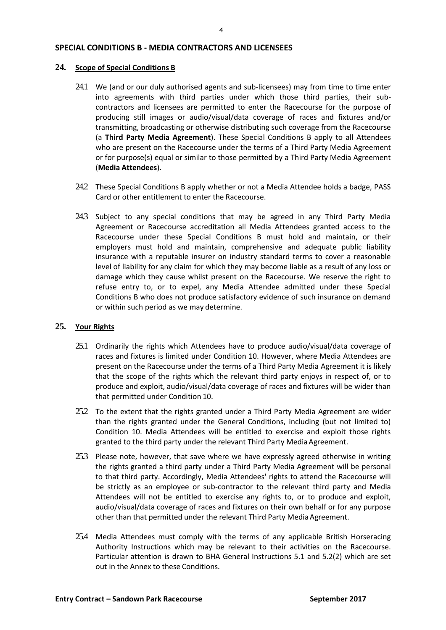### <span id="page-3-0"></span>**SPECIAL CONDITIONS B - MEDIA CONTRACTORS AND LICENSEES**

#### <span id="page-3-1"></span>**24. Scope of Special Conditions B**

- 24.1 We (and or our duly authorised agents and sub-licensees) may from time to time enter into agreements with third parties under which those third parties, their subcontractors and licensees are permitted to enter the Racecourse for the purpose of producing still images or audio/visual/data coverage of races and fixtures and/or transmitting, broadcasting or otherwise distributing such coverage from the Racecourse (a **Third Party Media Agreement**). These Special Conditions B apply to all Attendees who are present on the Racecourse under the terms of a Third Party Media Agreement or for purpose(s) equal or similar to those permitted by a Third Party Media Agreement (**Media Attendees**).
- 24.2 These Special Conditions B apply whether or not a Media Attendee holds a badge, PASS Card or other entitlement to enter the Racecourse.
- 24.3 Subject to any special conditions that may be agreed in any Third Party Media Agreement or Racecourse accreditation all Media Attendees granted access to the Racecourse under these Special Conditions B must hold and maintain, or their employers must hold and maintain, comprehensive and adequate public liability insurance with a reputable insurer on industry standard terms to cover a reasonable level of liability for any claim for which they may become liable as a result of any loss or damage which they cause whilst present on the Racecourse. We reserve the right to refuse entry to, or to expel, any Media Attendee admitted under these Special Conditions B who does not produce satisfactory evidence of such insurance on demand or within such period as we may determine.

### <span id="page-3-2"></span>**25. Your Rights**

- 25.1 Ordinarily the rights which Attendees have to produce audio/visual/data coverage of races and fixtures is limited under Condition 10. However, where Media Attendees are present on the Racecourse under the terms of a Third Party Media Agreement it is likely that the scope of the rights which the relevant third party enjoys in respect of, or to produce and exploit, audio/visual/data coverage of races and fixtures will be wider than that permitted under Condition 10.
- 25.2 To the extent that the rights granted under a Third Party Media Agreement are wider than the rights granted under the General Conditions, including (but not limited to) Condition 10. Media Attendees will be entitled to exercise and exploit those rights granted to the third party under the relevant Third Party Media Agreement.
- 25.3 Please note, however, that save where we have expressly agreed otherwise in writing the rights granted a third party under a Third Party Media Agreement will be personal to that third party. Accordingly, Media Attendees' rights to attend the Racecourse will be strictly as an employee or sub-contractor to the relevant third party and Media Attendees will not be entitled to exercise any rights to, or to produce and exploit, audio/visual/data coverage of races and fixtures on their own behalf or for any purpose other than that permitted under the relevant Third Party Media Agreement.
- 25.4 Media Attendees must comply with the terms of any applicable British Horseracing Authority Instructions which may be relevant to their activities on the Racecourse. Particular attention is drawn to BHA General Instructions 5.1 and 5.2(2) which are set out in the Annex to these Conditions.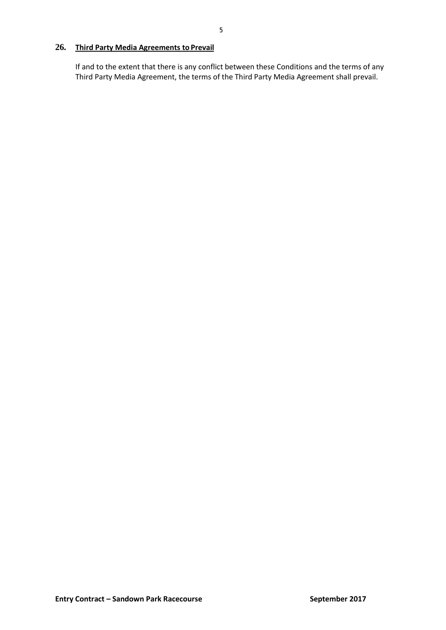# <span id="page-4-0"></span>**26. Third Party Media Agreements to Prevail**

If and to the extent that there is any conflict between these Conditions and the terms of any Third Party Media Agreement, the terms of the Third Party Media Agreement shall prevail.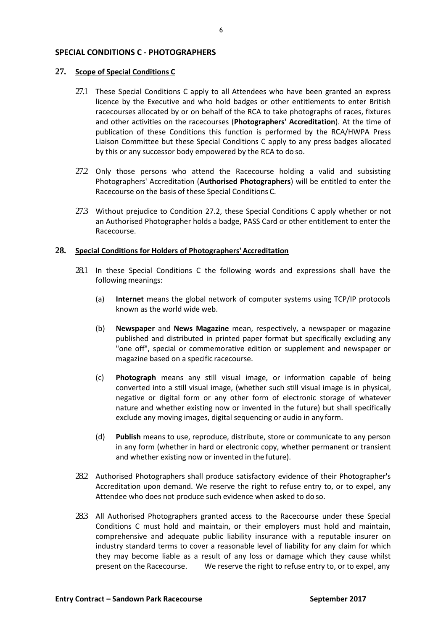#### <span id="page-5-0"></span>**SPECIAL CONDITIONS C - PHOTOGRAPHERS**

#### <span id="page-5-1"></span>**27. Scope of Special Conditions C**

- 27.1 These Special Conditions C apply to all Attendees who have been granted an express licence by the Executive and who hold badges or other entitlements to enter British racecourses allocated by or on behalf of the RCA to take photographs of races, fixtures and other activities on the racecourses (**Photographers' Accreditation**). At the time of publication of these Conditions this function is performed by the RCA/HWPA Press Liaison Committee but these Special Conditions C apply to any press badges allocated by this or any successor body empowered by the RCA to do so.
- <span id="page-5-3"></span>27.2 Only those persons who attend the Racecourse holding a valid and subsisting Photographers' Accreditation (**Authorised Photographers**) will be entitled to enter the Racecourse on the basis of these Special Conditions C.
- 27.3 Without prejudice to Condition [27.2,](#page-5-3) these Special Conditions C apply whether or not an Authorised Photographer holds a badge, PASS Card or other entitlement to enter the Racecourse.

### <span id="page-5-2"></span>**28. Special Conditions for Holders of Photographers' Accreditation**

- 28.1 In these Special Conditions C the following words and expressions shall have the following meanings:
	- (a) **Internet** means the global network of computer systems using TCP/IP protocols known as the world wide web.
	- (b) **Newspaper** and **News Magazine** mean, respectively, a newspaper or magazine published and distributed in printed paper format but specifically excluding any "one off", special or commemorative edition or supplement and newspaper or magazine based on a specific racecourse.
	- (c) **Photograph** means any still visual image, or information capable of being converted into a still visual image, (whether such still visual image is in physical, negative or digital form or any other form of electronic storage of whatever nature and whether existing now or invented in the future) but shall specifically exclude any moving images, digital sequencing or audio in any form.
	- (d) **Publish** means to use, reproduce, distribute, store or communicate to any person in any form (whether in hard or electronic copy, whether permanent or transient and whether existing now or invented in the future).
- 28.2 Authorised Photographers shall produce satisfactory evidence of their Photographer's Accreditation upon demand. We reserve the right to refuse entry to, or to expel, any Attendee who does not produce such evidence when asked to do so.
- 28.3 All Authorised Photographers granted access to the Racecourse under these Special Conditions C must hold and maintain, or their employers must hold and maintain, comprehensive and adequate public liability insurance with a reputable insurer on industry standard terms to cover a reasonable level of liability for any claim for which they may become liable as a result of any loss or damage which they cause whilst present on the Racecourse. We reserve the right to refuse entry to, or to expel, any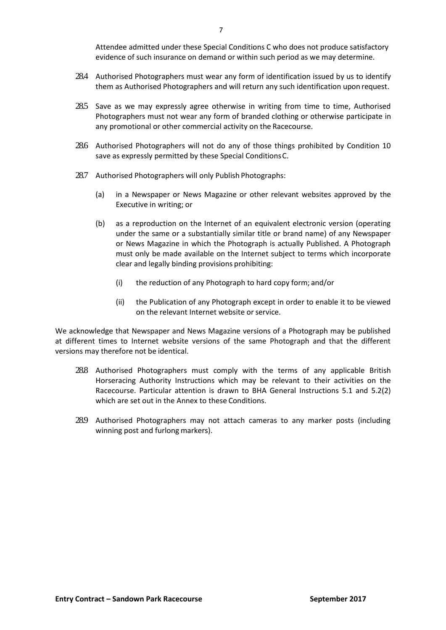Attendee admitted under these Special Conditions C who does not produce satisfactory evidence of such insurance on demand or within such period as we may determine.

- 28.4 Authorised Photographers must wear any form of identification issued by us to identify them as Authorised Photographers and will return any such identification upon request.
- 28.5 Save as we may expressly agree otherwise in writing from time to time, Authorised Photographers must not wear any form of branded clothing or otherwise participate in any promotional or other commercial activity on the Racecourse.
- 28.6 Authorised Photographers will not do any of those things prohibited by Condition 10 save as expressly permitted by these Special ConditionsC.
- 28.7 Authorised Photographers will only Publish Photographs:
	- (a) in a Newspaper or News Magazine or other relevant websites approved by the Executive in writing; or
	- (b) as a reproduction on the Internet of an equivalent electronic version (operating under the same or a substantially similar title or brand name) of any Newspaper or News Magazine in which the Photograph is actually Published. A Photograph must only be made available on the Internet subject to terms which incorporate clear and legally binding provisions prohibiting:
		- (i) the reduction of any Photograph to hard copy form; and/or
		- (ii) the Publication of any Photograph except in order to enable it to be viewed on the relevant Internet website or service.

We acknowledge that Newspaper and News Magazine versions of a Photograph may be published at different times to Internet website versions of the same Photograph and that the different versions may therefore not be identical.

- 28.8 Authorised Photographers must comply with the terms of any applicable British Horseracing Authority Instructions which may be relevant to their activities on the Racecourse. Particular attention is drawn to BHA General Instructions 5.1 and 5.2(2) which are set out in the Annex to these Conditions.
- 28.9 Authorised Photographers may not attach cameras to any marker posts (including winning post and furlong markers).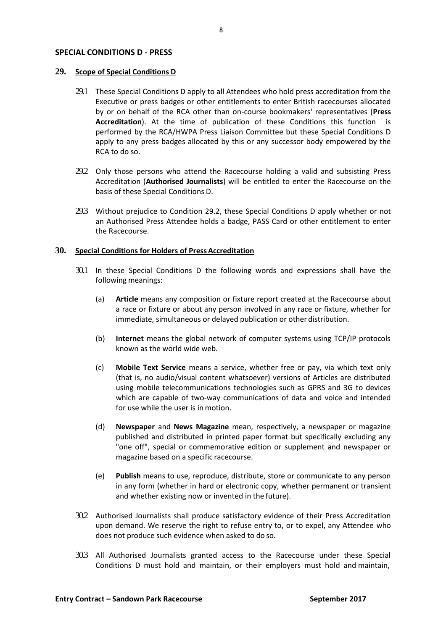#### <span id="page-7-0"></span>**SPECIAL CONDITIONS D - PRESS**

#### <span id="page-7-1"></span>**29. Scope of Special Conditions D**

- 29.1 These Special Conditions D apply to all Attendees who hold press accreditation from the Executive or press badges or other entitlements to enter British racecourses allocated by or on behalf of the RCA other than on-course bookmakers' representatives (**Press Accreditation**). At the time of publication of these Conditions this function is performed by the RCA/HWPA Press Liaison Committee but these Special Conditions D apply to any press badges allocated by this or any successor body empowered by the RCA to do so.
- <span id="page-7-3"></span>29.2 Only those persons who attend the Racecourse holding a valid and subsisting Press Accreditation (**Authorised Journalists**) will be entitled to enter the Racecourse on the basis of these Special Conditions D.
- 29.3 Without prejudice to Condition [29.2,](#page-7-3) these Special Conditions D apply whether or not an Authorised Press Attendee holds a badge, PASS Card or other entitlement to enter the Racecourse.

#### <span id="page-7-2"></span>**30. Special Conditions for Holders of Press Accreditation**

- 30.1 In these Special Conditions D the following words and expressions shall have the following meanings:
	- (a) **Article** means any composition or fixture report created at the Racecourse about a race or fixture or about any person involved in any race or fixture, whether for immediate, simultaneous or delayed publication or other distribution.
	- (b) **Internet** means the global network of computer systems using TCP/IP protocols known as the world wide web.
	- (c) **Mobile Text Service** means a service, whether free or pay, via which text only (that is, no audio/visual content whatsoever) versions of Articles are distributed using mobile telecommunications technologies such as GPRS and 3G to devices which are capable of two-way communications of data and voice and intended for use while the user is in motion.
	- (d) **Newspaper** and **News Magazine** mean, respectively, a newspaper or magazine published and distributed in printed paper format but specifically excluding any "one off", special or commemorative edition or supplement and newspaper or magazine based on a specific racecourse.
	- (e) **Publish** means to use, reproduce, distribute, store or communicate to any person in any form (whether in hard or electronic copy, whether permanent or transient and whether existing now or invented in the future).
- 30.2 Authorised Journalists shall produce satisfactory evidence of their Press Accreditation upon demand. We reserve the right to refuse entry to, or to expel, any Attendee who does not produce such evidence when asked to do so.
- 30.3 All Authorised Journalists granted access to the Racecourse under these Special Conditions D must hold and maintain, or their employers must hold and maintain,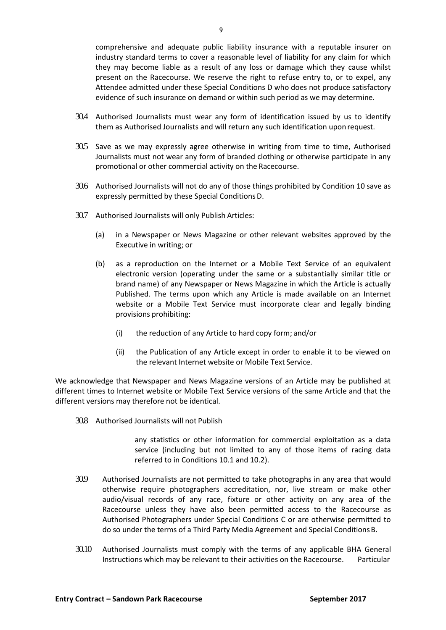comprehensive and adequate public liability insurance with a reputable insurer on industry standard terms to cover a reasonable level of liability for any claim for which they may become liable as a result of any loss or damage which they cause whilst present on the Racecourse. We reserve the right to refuse entry to, or to expel, any Attendee admitted under these Special Conditions D who does not produce satisfactory evidence of such insurance on demand or within such period as we may determine.

- 30.4 Authorised Journalists must wear any form of identification issued by us to identify them as Authorised Journalists and will return any such identification upon request.
- 30.5 Save as we may expressly agree otherwise in writing from time to time, Authorised Journalists must not wear any form of branded clothing or otherwise participate in any promotional or other commercial activity on the Racecourse.
- 30.6 Authorised Journalists will not do any of those things prohibited by Condition 10 save as expressly permitted by these Special ConditionsD.
- 30.7 Authorised Journalists will only Publish Articles:
	- (a) in a Newspaper or News Magazine or other relevant websites approved by the Executive in writing; or
	- (b) as a reproduction on the Internet or a Mobile Text Service of an equivalent electronic version (operating under the same or a substantially similar title or brand name) of any Newspaper or News Magazine in which the Article is actually Published. The terms upon which any Article is made available on an Internet website or a Mobile Text Service must incorporate clear and legally binding provisions prohibiting:
		- (i) the reduction of any Article to hard copy form; and/or
		- (ii) the Publication of any Article except in order to enable it to be viewed on the relevant Internet website or Mobile Text Service.

We acknowledge that Newspaper and News Magazine versions of an Article may be published at different times to Internet website or Mobile Text Service versions of the same Article and that the different versions may therefore not be identical.

30.8 Authorised Journalists will not Publish

any statistics or other information for commercial exploitation as a data service (including but not limited to any of those items of racing data referred to in Conditions 10.1 and 10.2).

- 30.9 Authorised Journalists are not permitted to take photographs in any area that would otherwise require photographers accreditation, nor, live stream or make other audio/visual records of any race, fixture or other activity on any area of the Racecourse unless they have also been permitted access to the Racecourse as Authorised Photographers under Special Conditions C or are otherwise permitted to do so under the terms of a Third Party Media Agreement and Special ConditionsB.
- 30.10 Authorised Journalists must comply with the terms of any applicable BHA General Instructions which may be relevant to their activities on the Racecourse. Particular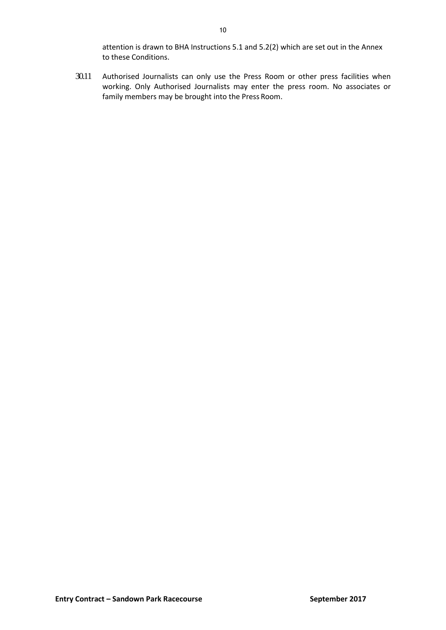30.11 Authorised Journalists can only use the Press Room or other press facilities when working. Only Authorised Journalists may enter the press room. No associates or family members may be brought into the Press Room.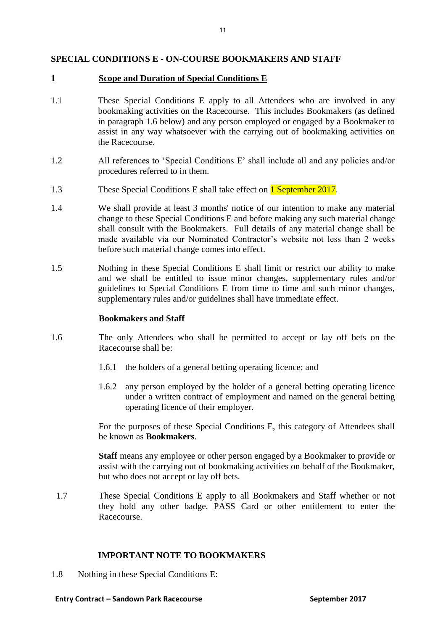# <span id="page-10-0"></span>**SPECIAL CONDITIONS E - ON-COURSE BOOKMAKERS AND STAFF**

### **1 Scope and Duration of Special Conditions E**

- 1.1 These Special Conditions E apply to all Attendees who are involved in any bookmaking activities on the Racecourse. This includes Bookmakers (as defined in paragraph 1.6 below) and any person employed or engaged by a Bookmaker to assist in any way whatsoever with the carrying out of bookmaking activities on the Racecourse.
- 1.2 All references to 'Special Conditions E' shall include all and any policies and/or procedures referred to in them.
- 1.3 These Special Conditions E shall take effect on **1 September 2017**.
- 1.4 We shall provide at least 3 months' notice of our intention to make any material change to these Special Conditions E and before making any such material change shall consult with the Bookmakers. Full details of any material change shall be made available via our Nominated Contractor's website not less than 2 weeks before such material change comes into effect.
- 1.5 Nothing in these Special Conditions E shall limit or restrict our ability to make and we shall be entitled to issue minor changes, supplementary rules and/or guidelines to Special Conditions E from time to time and such minor changes, supplementary rules and/or guidelines shall have immediate effect.

### **Bookmakers and Staff**

- 1.6 The only Attendees who shall be permitted to accept or lay off bets on the Racecourse shall be:
	- 1.6.1 the holders of a general betting operating licence; and
	- 1.6.2 any person employed by the holder of a general betting operating licence under a written contract of employment and named on the general betting operating licence of their employer.

For the purposes of these Special Conditions E, this category of Attendees shall be known as **Bookmakers**.

**Staff** means any employee or other person engaged by a Bookmaker to provide or assist with the carrying out of bookmaking activities on behalf of the Bookmaker, but who does not accept or lay off bets.

1.7 These Special Conditions E apply to all Bookmakers and Staff whether or not they hold any other badge, PASS Card or other entitlement to enter the Racecourse.

# **IMPORTANT NOTE TO BOOKMAKERS**

1.8 Nothing in these Special Conditions E: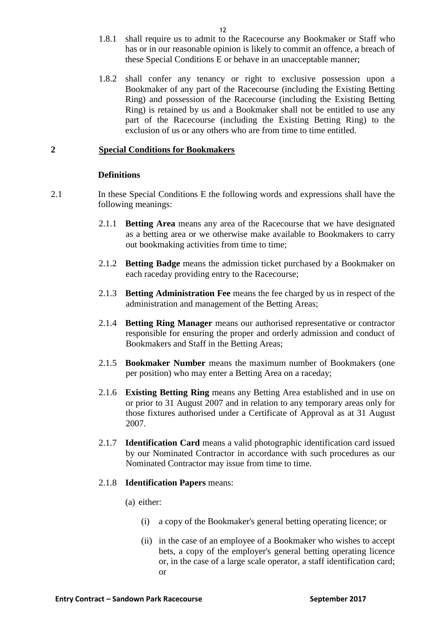- 1.8.1 shall require us to admit to the Racecourse any Bookmaker or Staff who has or in our reasonable opinion is likely to commit an offence, a breach of these Special Conditions E or behave in an unacceptable manner;
- 1.8.2 shall confer any tenancy or right to exclusive possession upon a Bookmaker of any part of the Racecourse (including the Existing Betting Ring) and possession of the Racecourse (including the Existing Betting Ring) is retained by us and a Bookmaker shall not be entitled to use any part of the Racecourse (including the Existing Betting Ring) to the exclusion of us or any others who are from time to time entitled.

# **2 Special Conditions for Bookmakers**

# **Definitions**

- 2.1 In these Special Conditions E the following words and expressions shall have the following meanings:
	- 2.1.1 **Betting Area** means any area of the Racecourse that we have designated as a betting area or we otherwise make available to Bookmakers to carry out bookmaking activities from time to time;
	- 2.1.2 **Betting Badge** means the admission ticket purchased by a Bookmaker on each raceday providing entry to the Racecourse;
	- 2.1.3 **Betting Administration Fee** means the fee charged by us in respect of the administration and management of the Betting Areas;
	- 2.1.4 **Betting Ring Manager** means our authorised representative or contractor responsible for ensuring the proper and orderly admission and conduct of Bookmakers and Staff in the Betting Areas;
	- 2.1.5 **Bookmaker Number** means the maximum number of Bookmakers (one per position) who may enter a Betting Area on a raceday;
	- 2.1.6 **Existing Betting Ring** means any Betting Area established and in use on or prior to 31 August 2007 and in relation to any temporary areas only for those fixtures authorised under a Certificate of Approval as at 31 August 2007.
	- 2.1.7 **Identification Card** means a valid photographic identification card issued by our Nominated Contractor in accordance with such procedures as our Nominated Contractor may issue from time to time.

# 2.1.8 **Identification Papers** means:

- (a) either:
	- (i) a copy of the Bookmaker's general betting operating licence; or
	- (ii) in the case of an employee of a Bookmaker who wishes to accept bets, a copy of the employer's general betting operating licence or, in the case of a large scale operator, a staff identification card; or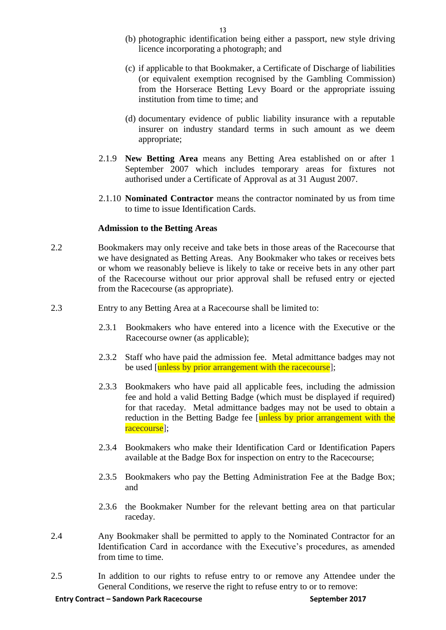- (b) photographic identification being either a passport, new style driving licence incorporating a photograph; and
- (c) if applicable to that Bookmaker, a Certificate of Discharge of liabilities (or equivalent exemption recognised by the Gambling Commission) from the Horserace Betting Levy Board or the appropriate issuing institution from time to time; and
- (d) documentary evidence of public liability insurance with a reputable insurer on industry standard terms in such amount as we deem appropriate;
- 2.1.9 **New Betting Area** means any Betting Area established on or after 1 September 2007 which includes temporary areas for fixtures not authorised under a Certificate of Approval as at 31 August 2007.
- 2.1.10 **Nominated Contractor** means the contractor nominated by us from time to time to issue Identification Cards.

# **Admission to the Betting Areas**

- 2.2 Bookmakers may only receive and take bets in those areas of the Racecourse that we have designated as Betting Areas. Any Bookmaker who takes or receives bets or whom we reasonably believe is likely to take or receive bets in any other part of the Racecourse without our prior approval shall be refused entry or ejected from the Racecourse (as appropriate).
- 2.3 Entry to any Betting Area at a Racecourse shall be limited to:
	- 2.3.1 Bookmakers who have entered into a licence with the Executive or the Racecourse owner (as applicable);
	- 2.3.2 Staff who have paid the admission fee. Metal admittance badges may not be used [unless by prior arrangement with the racecourse];
	- 2.3.3 Bookmakers who have paid all applicable fees, including the admission fee and hold a valid Betting Badge (which must be displayed if required) for that raceday. Metal admittance badges may not be used to obtain a reduction in the Betting Badge fee [unless by prior arrangement with the racecourse];
	- 2.3.4 Bookmakers who make their Identification Card or Identification Papers available at the Badge Box for inspection on entry to the Racecourse;
	- 2.3.5 Bookmakers who pay the Betting Administration Fee at the Badge Box; and
	- 2.3.6 the Bookmaker Number for the relevant betting area on that particular raceday.
- 2.4 Any Bookmaker shall be permitted to apply to the Nominated Contractor for an Identification Card in accordance with the Executive's procedures, as amended from time to time.
- 2.5 In addition to our rights to refuse entry to or remove any Attendee under the General Conditions, we reserve the right to refuse entry to or to remove: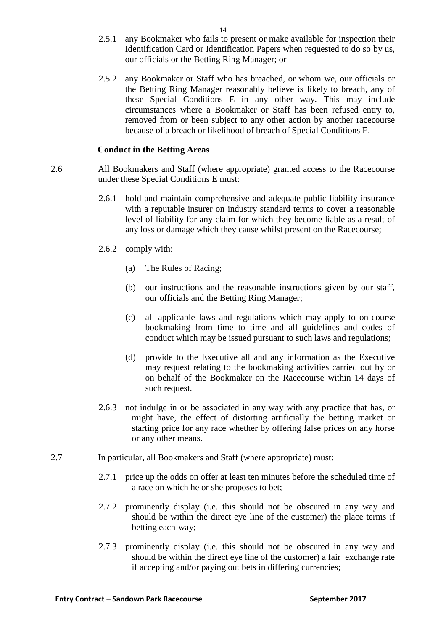- 2.5.1 any Bookmaker who fails to present or make available for inspection their Identification Card or Identification Papers when requested to do so by us, our officials or the Betting Ring Manager; or
- 2.5.2 any Bookmaker or Staff who has breached, or whom we, our officials or the Betting Ring Manager reasonably believe is likely to breach, any of these Special Conditions E in any other way. This may include circumstances where a Bookmaker or Staff has been refused entry to, removed from or been subject to any other action by another racecourse because of a breach or likelihood of breach of Special Conditions E.

### **Conduct in the Betting Areas**

- 2.6 All Bookmakers and Staff (where appropriate) granted access to the Racecourse under these Special Conditions E must:
	- 2.6.1 hold and maintain comprehensive and adequate public liability insurance with a reputable insurer on industry standard terms to cover a reasonable level of liability for any claim for which they become liable as a result of any loss or damage which they cause whilst present on the Racecourse;
	- 2.6.2 comply with:
		- (a) The Rules of Racing;
		- (b) our instructions and the reasonable instructions given by our staff, our officials and the Betting Ring Manager;
		- (c) all applicable laws and regulations which may apply to on-course bookmaking from time to time and all guidelines and codes of conduct which may be issued pursuant to such laws and regulations;
		- (d) provide to the Executive all and any information as the Executive may request relating to the bookmaking activities carried out by or on behalf of the Bookmaker on the Racecourse within 14 days of such request.
	- 2.6.3 not indulge in or be associated in any way with any practice that has, or might have, the effect of distorting artificially the betting market or starting price for any race whether by offering false prices on any horse or any other means.
- 2.7 In particular, all Bookmakers and Staff (where appropriate) must:
	- 2.7.1 price up the odds on offer at least ten minutes before the scheduled time of a race on which he or she proposes to bet;
	- 2.7.2 prominently display (i.e. this should not be obscured in any way and should be within the direct eye line of the customer) the place terms if betting each-way;
	- 2.7.3 prominently display (i.e. this should not be obscured in any way and should be within the direct eye line of the customer) a fair exchange rate if accepting and/or paying out bets in differing currencies;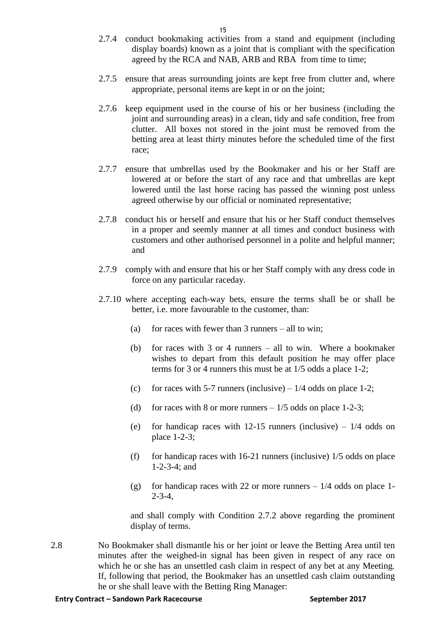- 2.7.4 conduct bookmaking activities from a stand and equipment (including display boards) known as a joint that is compliant with the specification agreed by the RCA and NAB, ARB and RBA from time to time;
- 2.7.5 ensure that areas surrounding joints are kept free from clutter and, where appropriate, personal items are kept in or on the joint;
- 2.7.6 keep equipment used in the course of his or her business (including the joint and surrounding areas) in a clean, tidy and safe condition, free from clutter. All boxes not stored in the joint must be removed from the betting area at least thirty minutes before the scheduled time of the first race;
- 2.7.7 ensure that umbrellas used by the Bookmaker and his or her Staff are lowered at or before the start of any race and that umbrellas are kept lowered until the last horse racing has passed the winning post unless agreed otherwise by our official or nominated representative;
- 2.7.8 conduct his or herself and ensure that his or her Staff conduct themselves in a proper and seemly manner at all times and conduct business with customers and other authorised personnel in a polite and helpful manner; and
- 2.7.9 comply with and ensure that his or her Staff comply with any dress code in force on any particular raceday.
- 2.7.10 where accepting each-way bets, ensure the terms shall be or shall be better, i.e. more favourable to the customer, than:
	- (a) for races with fewer than  $3$  runners all to win:
	- (b) for races with 3 or 4 runners all to win. Where a bookmaker wishes to depart from this default position he may offer place terms for 3 or 4 runners this must be at 1/5 odds a place 1-2;
	- (c) for races with 5-7 runners (inclusive)  $-1/4$  odds on place 1-2;
	- (d) for races with 8 or more runners  $-1/5$  odds on place 1-2-3;
	- (e) for handicap races with  $12-15$  runners (inclusive)  $1/4$  odds on place 1-2-3;
	- (f) for handicap races with  $16-21$  runners (inclusive)  $1/5$  odds on place 1-2-3-4; and
	- (g) for handicap races with 22 or more runners  $-1/4$  odds on place 1- $2 - 3 - 4$ .

and shall comply with Condition 2.7.2 above regarding the prominent display of terms.

2.8 No Bookmaker shall dismantle his or her joint or leave the Betting Area until ten minutes after the weighed-in signal has been given in respect of any race on which he or she has an unsettled cash claim in respect of any bet at any Meeting. If, following that period, the Bookmaker has an unsettled cash claim outstanding he or she shall leave with the Betting Ring Manager: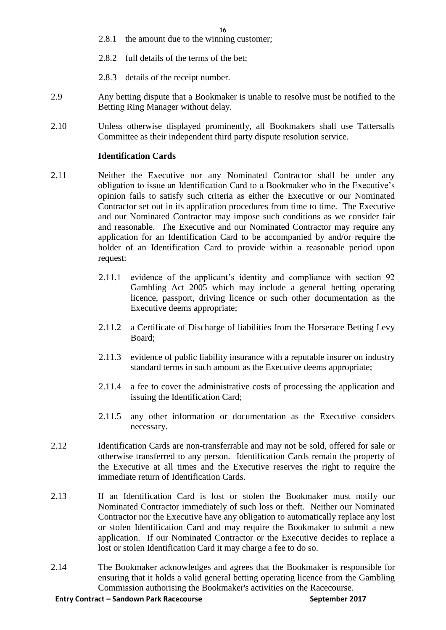- 2.8.1 the amount due to the winning customer;
- 2.8.2 full details of the terms of the bet;
- 2.8.3 details of the receipt number.
- 2.9 Any betting dispute that a Bookmaker is unable to resolve must be notified to the Betting Ring Manager without delay.
- 2.10 Unless otherwise displayed prominently, all Bookmakers shall use Tattersalls Committee as their independent third party dispute resolution service.

### **Identification Cards**

- 2.11 Neither the Executive nor any Nominated Contractor shall be under any obligation to issue an Identification Card to a Bookmaker who in the Executive's opinion fails to satisfy such criteria as either the Executive or our Nominated Contractor set out in its application procedures from time to time. The Executive and our Nominated Contractor may impose such conditions as we consider fair and reasonable. The Executive and our Nominated Contractor may require any application for an Identification Card to be accompanied by and/or require the holder of an Identification Card to provide within a reasonable period upon request:
	- 2.11.1 evidence of the applicant's identity and compliance with section 92 Gambling Act 2005 which may include a general betting operating licence, passport, driving licence or such other documentation as the Executive deems appropriate;
	- 2.11.2 a Certificate of Discharge of liabilities from the Horserace Betting Levy Board;
	- 2.11.3 evidence of public liability insurance with a reputable insurer on industry standard terms in such amount as the Executive deems appropriate;
	- 2.11.4 a fee to cover the administrative costs of processing the application and issuing the Identification Card;
	- 2.11.5 any other information or documentation as the Executive considers necessary.
- 2.12 Identification Cards are non-transferrable and may not be sold, offered for sale or otherwise transferred to any person. Identification Cards remain the property of the Executive at all times and the Executive reserves the right to require the immediate return of Identification Cards.
- 2.13 If an Identification Card is lost or stolen the Bookmaker must notify our Nominated Contractor immediately of such loss or theft. Neither our Nominated Contractor nor the Executive have any obligation to automatically replace any lost or stolen Identification Card and may require the Bookmaker to submit a new application. If our Nominated Contractor or the Executive decides to replace a lost or stolen Identification Card it may charge a fee to do so.
- <span id="page-15-0"></span>2.14 The Bookmaker acknowledges and agrees that the Bookmaker is responsible for ensuring that it holds a valid general betting operating licence from the Gambling Commission authorising the Bookmaker's activities on the Racecourse.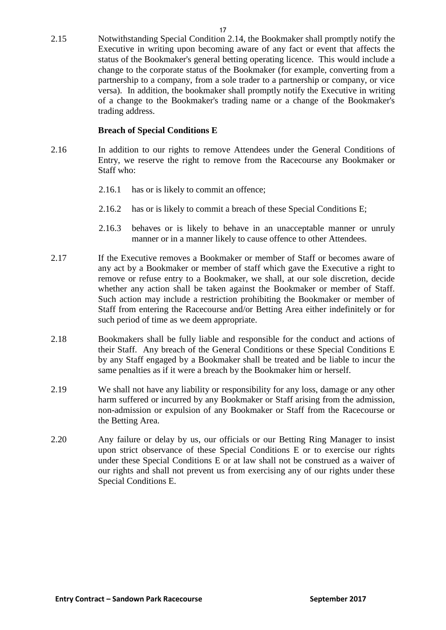2.15 Notwithstanding Special Condition [2.14,](#page-15-0) the Bookmaker shall promptly notify the Executive in writing upon becoming aware of any fact or event that affects the status of the Bookmaker's general betting operating licence. This would include a change to the corporate status of the Bookmaker (for example, converting from a partnership to a company, from a sole trader to a partnership or company, or vice versa). In addition, the bookmaker shall promptly notify the Executive in writing of a change to the Bookmaker's trading name or a change of the Bookmaker's trading address.

# **Breach of Special Conditions E**

- 2.16 In addition to our rights to remove Attendees under the General Conditions of Entry, we reserve the right to remove from the Racecourse any Bookmaker or Staff who:
	- 2.16.1 has or is likely to commit an offence;
	- 2.16.2 has or is likely to commit a breach of these Special Conditions E;
	- 2.16.3 behaves or is likely to behave in an unacceptable manner or unruly manner or in a manner likely to cause offence to other Attendees.
- 2.17 If the Executive removes a Bookmaker or member of Staff or becomes aware of any act by a Bookmaker or member of staff which gave the Executive a right to remove or refuse entry to a Bookmaker, we shall, at our sole discretion, decide whether any action shall be taken against the Bookmaker or member of Staff. Such action may include a restriction prohibiting the Bookmaker or member of Staff from entering the Racecourse and/or Betting Area either indefinitely or for such period of time as we deem appropriate.
- 2.18 Bookmakers shall be fully liable and responsible for the conduct and actions of their Staff. Any breach of the General Conditions or these Special Conditions E by any Staff engaged by a Bookmaker shall be treated and be liable to incur the same penalties as if it were a breach by the Bookmaker him or herself.
- 2.19 We shall not have any liability or responsibility for any loss, damage or any other harm suffered or incurred by any Bookmaker or Staff arising from the admission, non-admission or expulsion of any Bookmaker or Staff from the Racecourse or the Betting Area.
- 2.20 Any failure or delay by us, our officials or our Betting Ring Manager to insist upon strict observance of these Special Conditions E or to exercise our rights under these Special Conditions E or at law shall not be construed as a waiver of our rights and shall not prevent us from exercising any of our rights under these Special Conditions E.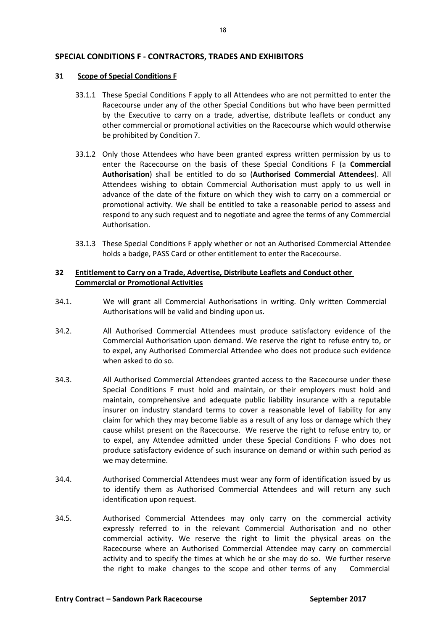### <span id="page-17-0"></span>**SPECIAL CONDITIONS F - CONTRACTORS, TRADES AND EXHIBITORS**

#### <span id="page-17-1"></span>**31 Scope of Special Conditions F**

- 33.1.1 These Special Conditions F apply to all Attendees who are not permitted to enter the Racecourse under any of the other Special Conditions but who have been permitted by the Executive to carry on a trade, advertise, distribute leaflets or conduct any other commercial or promotional activities on the Racecourse which would otherwise be prohibited by Condition 7.
- 33.1.2 Only those Attendees who have been granted express written permission by us to enter the Racecourse on the basis of these Special Conditions F (a **Commercial Authorisation**) shall be entitled to do so (**Authorised Commercial Attendees**). All Attendees wishing to obtain Commercial Authorisation must apply to us well in advance of the date of the fixture on which they wish to carry on a commercial or promotional activity. We shall be entitled to take a reasonable period to assess and respond to any such request and to negotiate and agree the terms of any Commercial Authorisation.
- 33.1.3 These Special Conditions F apply whether or not an Authorised Commercial Attendee holds a badge, PASS Card or other entitlement to enter the Racecourse.

### <span id="page-17-2"></span>**32 Entitlement to Carry on a Trade, Advertise, Distribute Leaflets and Conduct other Commercial or Promotional Activities**

- 34.1. We will grant all Commercial Authorisations in writing. Only written Commercial Authorisations will be valid and binding upon us.
- 34.2. All Authorised Commercial Attendees must produce satisfactory evidence of the Commercial Authorisation upon demand. We reserve the right to refuse entry to, or to expel, any Authorised Commercial Attendee who does not produce such evidence when asked to do so.
- 34.3. All Authorised Commercial Attendees granted access to the Racecourse under these Special Conditions F must hold and maintain, or their employers must hold and maintain, comprehensive and adequate public liability insurance with a reputable insurer on industry standard terms to cover a reasonable level of liability for any claim for which they may become liable as a result of any loss or damage which they cause whilst present on the Racecourse. We reserve the right to refuse entry to, or to expel, any Attendee admitted under these Special Conditions F who does not produce satisfactory evidence of such insurance on demand or within such period as we may determine.
- 34.4. Authorised Commercial Attendees must wear any form of identification issued by us to identify them as Authorised Commercial Attendees and will return any such identification upon request.
- 34.5. Authorised Commercial Attendees may only carry on the commercial activity expressly referred to in the relevant Commercial Authorisation and no other commercial activity. We reserve the right to limit the physical areas on the Racecourse where an Authorised Commercial Attendee may carry on commercial activity and to specify the times at which he or she may do so. We further reserve the right to make changes to the scope and other terms of any Commercial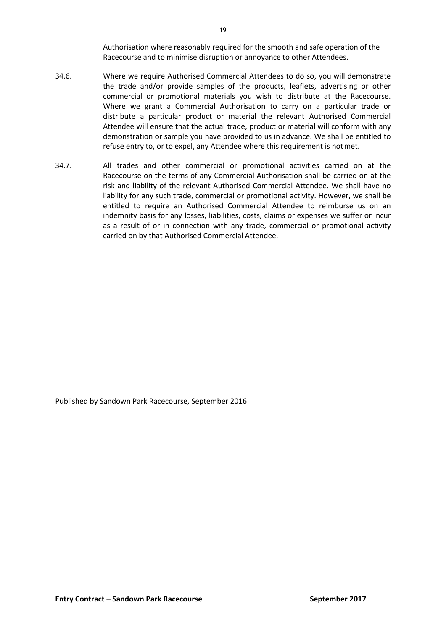Authorisation where reasonably required for the smooth and safe operation of the Racecourse and to minimise disruption or annoyance to other Attendees.

- 34.6. Where we require Authorised Commercial Attendees to do so, you will demonstrate the trade and/or provide samples of the products, leaflets, advertising or other commercial or promotional materials you wish to distribute at the Racecourse. Where we grant a Commercial Authorisation to carry on a particular trade or distribute a particular product or material the relevant Authorised Commercial Attendee will ensure that the actual trade, product or material will conform with any demonstration or sample you have provided to us in advance. We shall be entitled to refuse entry to, or to expel, any Attendee where this requirement is notmet.
- 34.7. All trades and other commercial or promotional activities carried on at the Racecourse on the terms of any Commercial Authorisation shall be carried on at the risk and liability of the relevant Authorised Commercial Attendee. We shall have no liability for any such trade, commercial or promotional activity. However, we shall be entitled to require an Authorised Commercial Attendee to reimburse us on an indemnity basis for any losses, liabilities, costs, claims or expenses we suffer or incur as a result of or in connection with any trade, commercial or promotional activity carried on by that Authorised Commercial Attendee.

Published by Sandown Park Racecourse, September 2016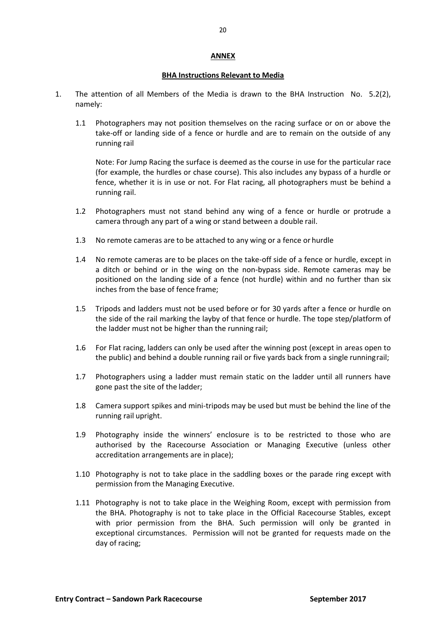### **ANNEX**

### **BHA Instructions Relevant to Media**

- <span id="page-19-0"></span>1. The attention of all Members of the Media is drawn to the BHA Instruction No. 5.2(2), namely:
	- 1.1 Photographers may not position themselves on the racing surface or on or above the take-off or landing side of a fence or hurdle and are to remain on the outside of any running rail

Note: For Jump Racing the surface is deemed as the course in use for the particular race (for example, the hurdles or chase course). This also includes any bypass of a hurdle or fence, whether it is in use or not. For Flat racing, all photographers must be behind a running rail.

- 1.2 Photographers must not stand behind any wing of a fence or hurdle or protrude a camera through any part of a wing or stand between a double rail.
- 1.3 No remote cameras are to be attached to any wing or a fence or hurdle
- 1.4 No remote cameras are to be places on the take-off side of a fence or hurdle, except in a ditch or behind or in the wing on the non-bypass side. Remote cameras may be positioned on the landing side of a fence (not hurdle) within and no further than six inches from the base of fence frame;
- 1.5 Tripods and ladders must not be used before or for 30 yards after a fence or hurdle on the side of the rail marking the layby of that fence or hurdle. The tope step/platform of the ladder must not be higher than the running rail;
- 1.6 For Flat racing, ladders can only be used after the winning post (except in areas open to the public) and behind a double running rail or five yards back from a single runningrail;
- 1.7 Photographers using a ladder must remain static on the ladder until all runners have gone past the site of the ladder;
- 1.8 Camera support spikes and mini-tripods may be used but must be behind the line of the running rail upright.
- 1.9 Photography inside the winners' enclosure is to be restricted to those who are authorised by the Racecourse Association or Managing Executive (unless other accreditation arrangements are in place);
- 1.10 Photography is not to take place in the saddling boxes or the parade ring except with permission from the Managing Executive.
- 1.11 Photography is not to take place in the Weighing Room, except with permission from the BHA. Photography is not to take place in the Official Racecourse Stables, except with prior permission from the BHA. Such permission will only be granted in exceptional circumstances. Permission will not be granted for requests made on the day of racing;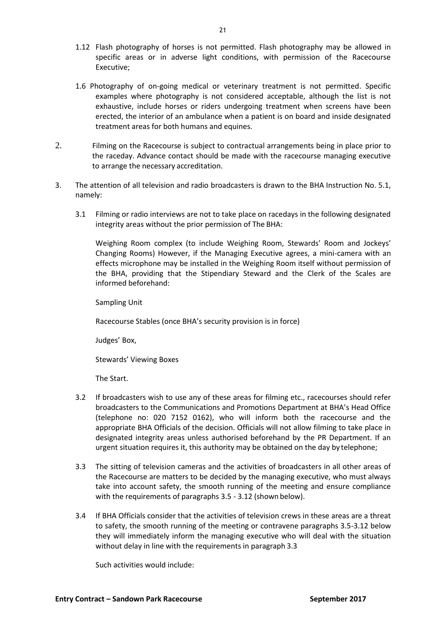- 1.12 Flash photography of horses is not permitted. Flash photography may be allowed in specific areas or in adverse light conditions, with permission of the Racecourse Executive;
- 1.6 Photography of on-going medical or veterinary treatment is not permitted. Specific examples where photography is not considered acceptable, although the list is not exhaustive, include horses or riders undergoing treatment when screens have been erected, the interior of an ambulance when a patient is on board and inside designated treatment areas for both humans and equines.
- 2. Filming on the Racecourse is subject to contractual arrangements being in place prior to the raceday. Advance contact should be made with the racecourse managing executive to arrange the necessary accreditation.
- 3. The attention of all television and radio broadcasters is drawn to the BHA Instruction No. 5.1, namely:
	- 3.1 Filming or radio interviews are not to take place on racedays in the following designated integrity areas without the prior permission of The BHA:

Weighing Room complex (to include Weighing Room, Stewards' Room and Jockeys' Changing Rooms) However, if the Managing Executive agrees, a mini-camera with an effects microphone may be installed in the Weighing Room itself without permission of the BHA, providing that the Stipendiary Steward and the Clerk of the Scales are informed beforehand:

Sampling Unit

Racecourse Stables (once BHA's security provision is in force)

Judges' Box,

Stewards' Viewing Boxes

The Start.

- 3.2 If broadcasters wish to use any of these areas for filming etc., racecourses should refer broadcasters to the Communications and Promotions Department at BHA's Head Office (telephone no: 020 7152 0162), who will inform both the racecourse and the appropriate BHA Officials of the decision. Officials will not allow filming to take place in designated integrity areas unless authorised beforehand by the PR Department. If an urgent situation requires it, this authority may be obtained on the day by telephone;
- 3.3 The sitting of television cameras and the activities of broadcasters in all other areas of the Racecourse are matters to be decided by the managing executive, who must always take into account safety, the smooth running of the meeting and ensure compliance with the requirements of paragraphs 3.5 - 3.12 (shown below).
- 3.4 If BHA Officials consider that the activities of television crews in these areas are a threat to safety, the smooth running of the meeting or contravene paragraphs 3.5-3.12 below they will immediately inform the managing executive who will deal with the situation without delay in line with the requirements in paragraph 3.3

Such activities would include: